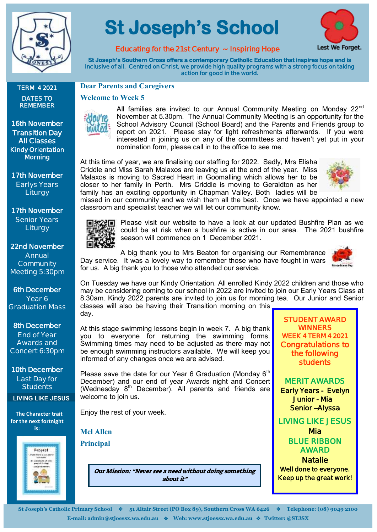

**TERM 4 2021 DATES TO REMEMBER**

**16th November Transition Day All Classes Kindy Orientation Morning** 

**17th November Earlys Years Liturgy**

**17th November Senior Years Liturgy**

**22nd November Annual Community Meeting 5:30pm**

**6th December Year 6 Graduation Mass**

**8th December End of Year Awards and Concert 6:30pm**

**10th December Last Day for Students**

 **The Character trait for the next fortnight is:** 

**LIVING LIKE JESUS**

# **St Joseph's School**



**Educating for the 21st Century ~ Inspiring Hope** 

**St Joseph's Southern Cross offers a contemporary Catholic Education that inspires hope and is inclusive of all. Centred on Christ, we provide high quality programs with a strong focus on taking action for good in the world.** 

#### **Dear Parents and Caregivers**

#### **Welcome to Week 5**



All families are invited to our Annual Community Meeting on Monday 22<sup>nd</sup> November at 5.30pm. The Annual Community Meeting is an opportunity for the School Advisory Council (School Board) and the Parents and Friends group to report on 2021. Please stay for light refreshments afterwards. If you were interested in joining us on any of the committees and haven't yet put in your nomination form, please call in to the office to see me.

At this time of year, we are finalising our staffing for 2022. Sadly, Mrs Elisha Criddle and Miss Sarah Malaxos are leaving us at the end of the year. Miss Malaxos is moving to Sacred Heart in Goomalling which allows her to be closer to her family in Perth. Mrs Criddle is moving to Geraldton as her family has an exciting opportunity in Chapman Valley. Both ladies will be



missed in our community and we wish them all the best. Once we have appointed a new classroom and specialist teacher we will let our community know.



Please visit our website to have a look at our updated Bushfire Plan as we could be at risk when a bushfire is active in our area. The 2021 bushfire season will commence on 1 December 2021.

A big thank you to Mrs Beaton for organising our Remembrance Day service. It was a lovely way to remember those who have fought in wars for us. A big thank you to those who attended our service.



On Tuesday we have our Kindy Orientation. All enrolled Kindy 2022 children and those who may be considering coming to our school in 2022 are invited to join our Early Years Class at 8.30am. Kindy 2022 parents are invited to join us for morning tea. Our Junior and Senior classes will also be having their Transition morning on this day.

At this stage swimming lessons begin in week 7. A big thank you to everyone for returning the swimming forms. Swimming times may need to be adjusted as there may not be enough swimming instructors available. We will keep you informed of any changes once we are advised.

Please save the date for our Year 6 Graduation (Monday  $6<sup>th</sup>$ December) and our end of year Awards night and Concert (Wednesday  $8<sup>th</sup>$  December). All parents and friends are welcome to join us.

Enjoy the rest of your week.

**Mel Allen Principal**



Our Mission: "Never see a need without doing something about it"

**STUDENT AWARD WINNERS WEEK 4 TERM 4 2021 Congratulations to the following students** 

**MERIT AWARDS Early Years - Evelyn Junior - Mia Senior –Alyssa** 

**LIVING LIKE JESUS Mia BLUE RIBBON AWARD Natalie Well done to everyone.** 

**Keep up the great work!**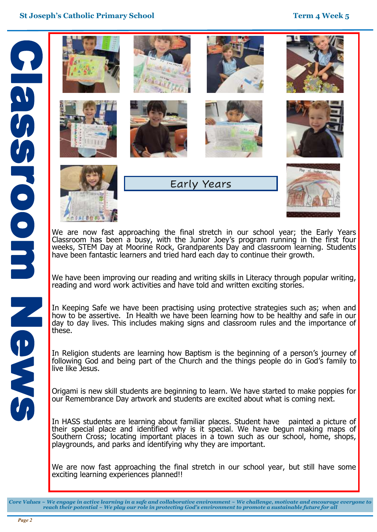

We are now fast approaching the final stretch in our school year; the Early Years Classroom has been a busy, with the Junior Joey's program running in the first four weeks, STEM Day at Moorine Rock, Grandparents Day and classroom learning. Students have been fantastic learners and tried hard each day to continue their growth.

We have been improving our reading and writing skills in Literacy through popular writing, reading and word work activities and have told and written exciting stories.

In Keeping Safe we have been practising using protective strategies such as; when and how to be assertive. In Health we have been learning how to be healthy and safe in our day to day lives. This includes making signs and classroom rules and the importance of these.

In Religion students are learning how Baptism is the beginning of a person's journey of following God and being part of the Church and the things people do in God's family to live like Jesus.

Origami is new skill students are beginning to learn. We have started to make poppies for our Remembrance Day artwork and students are excited about what is coming next.

In HASS students are learning about familiar places. Student have painted a picture of their special place and identified why is it special. We have begun making maps of Southern Cross; locating important places in a town such as our school, home, shops, playgrounds, and parks and identifying why they are important.

We are now fast approaching the final stretch in our school year, but still have some exciting learning experiences planned!!

SMS N

*Core Values ~ We engage in active learning in a safe and collaborative environment ~ We challenge, motivate and encourage everyone to reach their potential ~ We play our role in protecting God's environment to promote a sustainable future for all*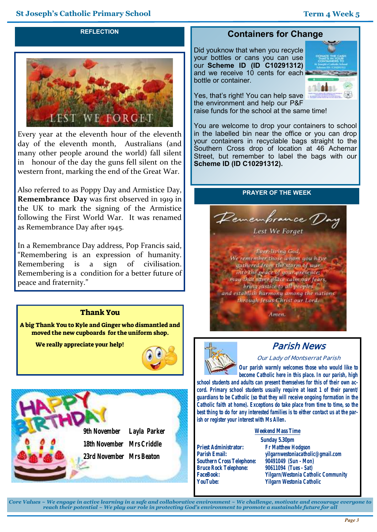#### **REFLECTION**



Every year at the eleventh hour of the eleventh day of the eleventh month, Australians (and many other people around the world) fall silent in honour of the day the guns fell silent on the western front, marking the end of the Great War.

Also referred to as Poppy Day and Armistice Day, **Remembrance Day** was first observed in 1919 in the UK to mark the signing of the Armistice following the First World War. It was renamed as Remembrance Day after 1945.

In a Remembrance Day address, Pop Francis said, "Remembering is an expression of humanity. Remembering is a sign of civilisation. Remembering is a condition for a better future of peace and fraternity."

### Thank You

A big Thank You to Kyle and Ginger who dismantled and moved the new cupboards for the uniform shop.

We really appreciate your help!





## **Containers for Change**

Did youknow that when you recycle your bottles or cans you can use our **Scheme ID (ID C10291312)**  and we receive 10 cents for each bottle or container.



Yes, that's right! You can help save the environment and help our P&F raise funds for the school at the same time!

You are welcome to drop your containers to school in the labelled bin near the office or you can drop your containers in recyclable bags straight to the Southern Cross drop of location at 46 Achernar Street, but remember to label the bags with our **Scheme ID (ID C10291312).**

#### **PRAYER OF THE WEEK**





# **Parish News**

**Our Lady of Montserrat Parish**

*Our parish warmly welcomes those who would like to become Catholic here in this place. In our parish, high* 

*school students and adults can present themselves for this of their own accord. Primary school students usually require at least 1 of their parent/ guardians to be Catholic (so that they will receive ongoing formation in the Catholic faith at home). Exceptions do take place from time to time, so the best thing to do for any interested families is to either contact us at the parish or register your interest with Ms Allen.*

**Weekend Mass Time**

**Priest Administrator:** *Fr Matthew Hodgson* **Southern Cross Telephone:** *90491049 (Sun - Mon)* **Bruce Rock Telephone:**<br>**FaceBook:** 

**Sunday 5.30pm Parish Email:** *yilgarnwestoniacatholic@gmail.com* **FaceBook:** *Yilgarn/Westonia Catholic Community* **Yilgarn Westonia Catholic** 

*Core Values ~ We engage in active learning in a safe and collaborative environment ~ We challenge, motivate and encourage everyone to reach their potential ~ We play our role in protecting God's environment to promote a sustainable future for all*